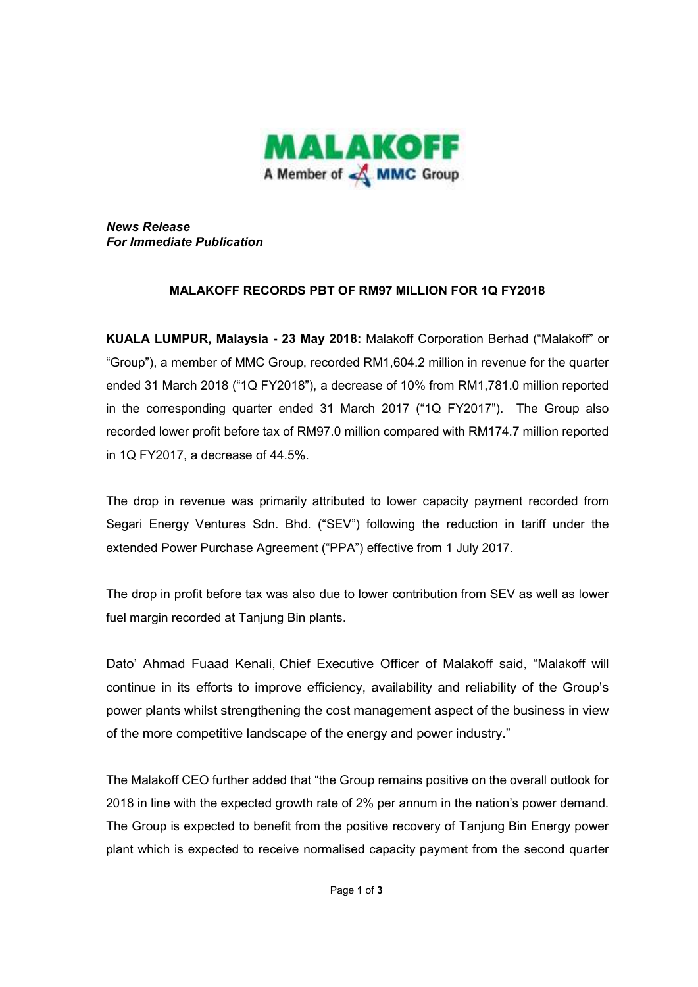

*News Release For Immediate Publication* 

## **MALAKOFF RECORDS PBT OF RM97 MILLION FOR 1Q FY2018**

**KUALA LUMPUR, Malaysia - 23 May 2018:** Malakoff Corporation Berhad ("Malakoff" or "Group"), a member of MMC Group, recorded RM1,604.2 million in revenue for the quarter ended 31 March 2018 ("1Q FY2018"), a decrease of 10% from RM1,781.0 million reported in the corresponding quarter ended 31 March 2017 ("1Q FY2017"). The Group also recorded lower profit before tax of RM97.0 million compared with RM174.7 million reported in 1Q FY2017, a decrease of 44.5%.

The drop in revenue was primarily attributed to lower capacity payment recorded from Segari Energy Ventures Sdn. Bhd. ("SEV") following the reduction in tariff under the extended Power Purchase Agreement ("PPA") effective from 1 July 2017.

The drop in profit before tax was also due to lower contribution from SEV as well as lower fuel margin recorded at Tanjung Bin plants.

Dato' Ahmad Fuaad Kenali, Chief Executive Officer of Malakoff said, "Malakoff will continue in its efforts to improve efficiency, availability and reliability of the Group's power plants whilst strengthening the cost management aspect of the business in view of the more competitive landscape of the energy and power industry."

The Malakoff CEO further added that "the Group remains positive on the overall outlook for 2018 in line with the expected growth rate of 2% per annum in the nation's power demand. The Group is expected to benefit from the positive recovery of Tanjung Bin Energy power plant which is expected to receive normalised capacity payment from the second quarter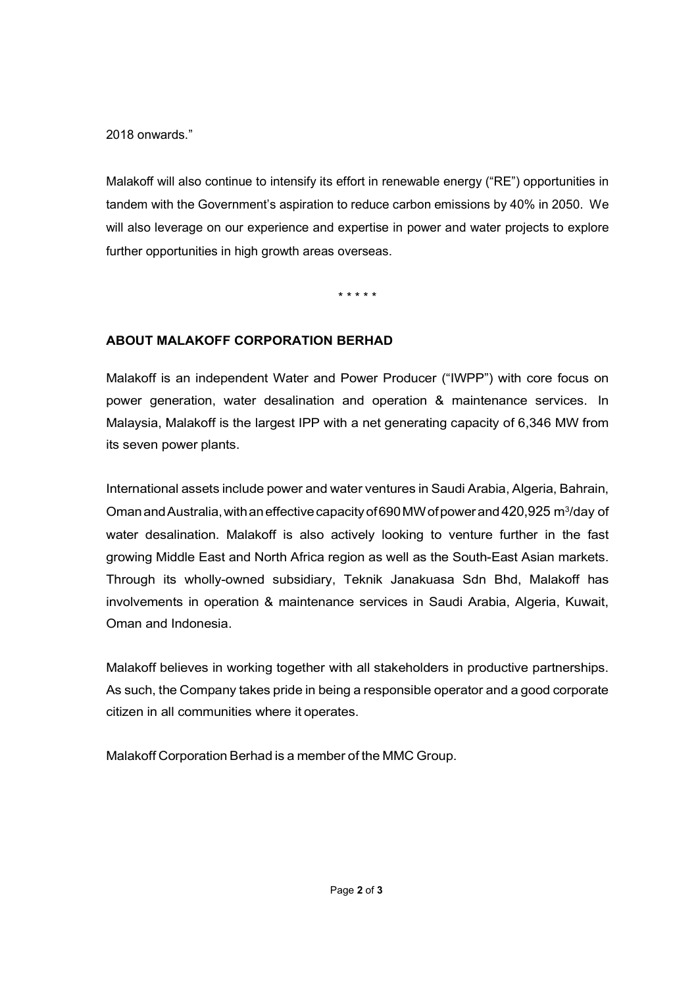2018 onwards."

Malakoff will also continue to intensify its effort in renewable energy ("RE") opportunities in tandem with the Government's aspiration to reduce carbon emissions by 40% in 2050. We will also leverage on our experience and expertise in power and water projects to explore further opportunities in high growth areas overseas.

\* \* \* \* \*

## **ABOUT MALAKOFF CORPORATION BERHAD**

Malakoff is an independent Water and Power Producer ("IWPP") with core focus on power generation, water desalination and operation & maintenance services. In Malaysia, Malakoff is the largest IPP with a net generating capacity of 6,346 MW from its seven power plants.

International assets include power and water ventures in Saudi Arabia, Algeria, Bahrain, Oman and Australia, with an effective capacity of 690 MW of power and 420,925 m<sup>3</sup>/day of water desalination. Malakoff is also actively looking to venture further in the fast growing Middle East and North Africa region as well as the South-East Asian markets. Through its wholly-owned subsidiary, Teknik Janakuasa Sdn Bhd, Malakoff has involvements in operation & maintenance services in Saudi Arabia, Algeria, Kuwait, Oman and Indonesia.

Malakoff believes in working together with all stakeholders in productive partnerships. As such, the Company takes pride in being a responsible operator and a good corporate citizen in all communities where it operates.

Malakoff Corporation Berhad is a member of the MMC Group.